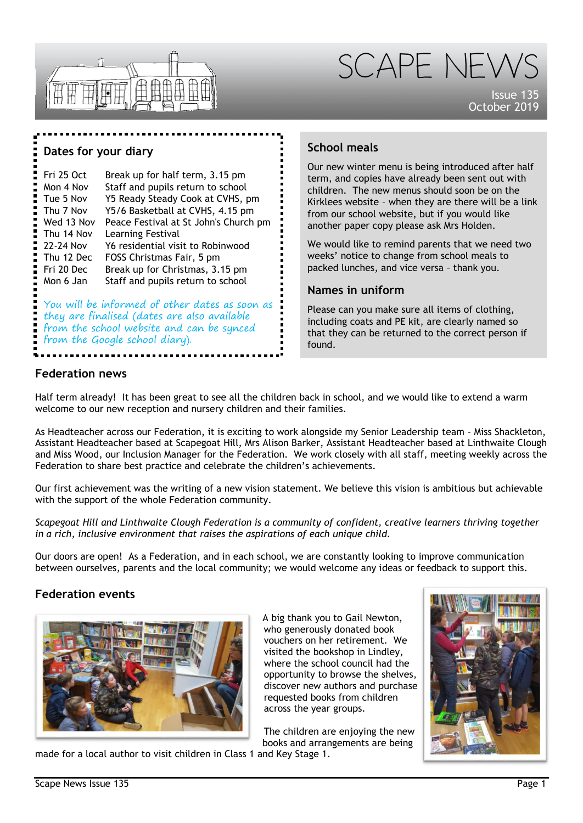



Issue 135 October 2019

#### **Dates for your diary**

Fri 25 Oct Break up for half term, 3.15 pm Mon 4 Nov Staff and pupils return to school Tue 5 Nov Y5 Ready Steady Cook at CVHS, pm Thu 7 Nov Y5/6 Basketball at CVHS, 4.15 pm Wed 13 Nov Peace Festival at St John's Church pm Thu 14 Nov Learning Festival 22-24 Nov Y6 residential visit to Robinwood<br>Thu 12 Dec FOSS Christmas Fair. 5 pm FOSS Christmas Fair, 5 pm Fri 20 Dec Break up for Christmas, 3.15 pm Mon 6 Jan Staff and pupils return to school

You will be informed of other dates as soon as they are finalised (dates are also available from the school website and can be synced from the Google school diary).

## **School meals**

Our new winter menu is being introduced after half term, and copies have already been sent out with children. The new menus should soon be on the Kirklees website – when they are there will be a link from our school website, but if you would like another paper copy please ask Mrs Holden.

We would like to remind parents that we need two weeks' notice to change from school meals to packed lunches, and vice versa – thank you.

#### **Names in uniform**

Please can you make sure all items of clothing, including coats and PE kit, are clearly named so that they can be returned to the correct person if found.

#### **Federation news**

Half term already! It has been great to see all the children back in school, and we would like to extend a warm welcome to our new reception and nursery children and their families.

As Headteacher across our Federation, it is exciting to work alongside my Senior Leadership team - Miss Shackleton, Assistant Headteacher based at Scapegoat Hill, Mrs Alison Barker, Assistant Headteacher based at Linthwaite Clough and Miss Wood, our Inclusion Manager for the Federation. We work closely with all staff, meeting weekly across the Federation to share best practice and celebrate the children's achievements.

Our first achievement was the writing of a new vision statement. We believe this vision is ambitious but achievable with the support of the whole Federation community.

*Scapegoat Hill and Linthwaite Clough Federation is a community of confident, creative learners thriving together in a rich, inclusive environment that raises the aspirations of each unique child.*

Our doors are open! As a Federation, and in each school, we are constantly looking to improve communication between ourselves, parents and the local community; we would welcome any ideas or feedback to support this.

#### **Federation events**



A big thank you to Gail Newton, who generously donated book vouchers on her retirement. We visited the bookshop in Lindley, where the school council had the opportunity to browse the shelves, discover new authors and purchase requested books from children across the year groups.

The children are enjoying the new books and arrangements are being made for a local author to visit children in Class 1 and Key Stage 1.

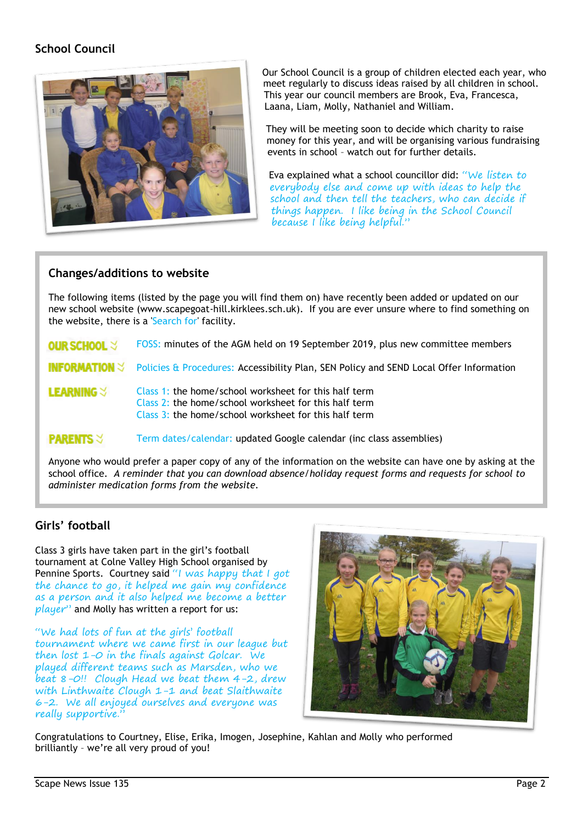# **School Council**



Our School Council is a group of children elected each year, who meet regularly to discuss ideas raised by all children in school. This year our council members are Brook, Eva, Francesca, Laana, Liam, Molly, Nathaniel and William.

They will be meeting soon to decide which charity to raise money for this year, and will be organising various fundraising events in school – watch out for further details.

Eva explained what a school councillor did: "We listen to everybody else and come up with ideas to help the school and then tell the teachers, who can decide if things happen. I like being in the School Council because I like being helpful."

#### **Changes/additions to website**

The following items (listed by the page you will find them on) have recently been added or updated on our new school website (www.scapegoat-hill.kirklees.sch.uk). If you are ever unsure where to find something on the website, there is a 'Search for' facility.

FOSS: minutes of the AGM held on 19 September 2019, plus new committee members OUR SCHOOL  $\forall$ 

INFORMATION  $\preceq$ Policies & Procedures: Accessibility Plan, SEN Policy and SEND Local Offer Information

**LEARNING** $\vee$ Class 1: the home/school worksheet for this half term Class 2: the home/school worksheet for this half term Class 3: the home/school worksheet for this half term

#### Term dates/calendar: updated Google calendar (inc class assemblies) **PARENTS 3**

Anyone who would prefer a paper copy of any of the information on the website can have one by asking at the school office. *A reminder that you can download absence/holiday request forms and requests for school to administer medication forms from the website.*

## **Girls' football**

Class 3 girls have taken part in the girl's football tournament at Colne Valley High School organised by Pennine Sports. Courtney said "I was happy that I got the chance to go, it helped me gain my confidence as a person and it also helped me become a better  $player$  and Molly has written a report for us:

"We had lots of fun at the girls' football tournament where we came first in our league but then lost 1-0 in the finals against Golcar. We played different teams such as Marsden, who we beat 8-0!! Clough Head we beat them 4-2, drew with Linthwaite Clough 1-1 and beat Slaithwaite 6-2. We all enjoyed ourselves and everyone was really supportive."



Congratulations to Courtney, Elise, Erika, Imogen, Josephine, Kahlan and Molly who performed brilliantly – we're all very proud of you!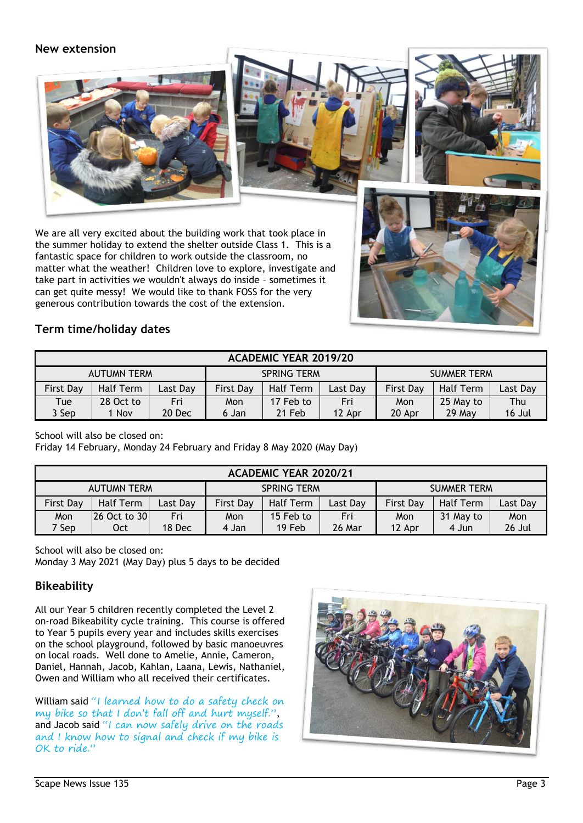### **New extension**







We are all very excited about the building work that took place in the summer holiday to extend the shelter outside Class 1. This is a fantastic space for children to work outside the classroom, no matter what the weather! Children love to explore, investigate and take part in activities we wouldn't always do inside – sometimes it can get quite messy! We would like to thank FOSS for the very generous contribution towards the cost of the extension.



# **Term time/holiday dates**

| <b>ACADEMIC YEAR 2019/20</b> |           |         |                    |                  |          |                    |           |          |  |  |  |  |
|------------------------------|-----------|---------|--------------------|------------------|----------|--------------------|-----------|----------|--|--|--|--|
| <b>AUTUMN TERM</b>           |           |         | <b>SPRING TERM</b> |                  |          | <b>SUMMER TERM</b> |           |          |  |  |  |  |
| <b>First Day</b>             | Half Term | ast Day | <b>First Day</b>   | <b>Half Term</b> | Last Day | <b>First Day</b>   | Half Term | Last Day |  |  |  |  |
| Tue                          | 28 Oct to | Fri     | Mon                | 17 Feb to        | Fri      | Mon                | 25 May to | Thu      |  |  |  |  |
| 3 Sep                        | 1 Nov     | 20 Dec  | 6 Jan              | 21 Feb           | 12 Apr   | 20 Apr             | $29$ May  | 16 Jul   |  |  |  |  |

School will also be closed on:

Friday 14 February, Monday 24 February and Friday 8 May 2020 (May Day)

| <b>ACADEMIC YEAR 2020/21</b> |              |          |                    |                  |          |                    |           |          |  |  |  |  |
|------------------------------|--------------|----------|--------------------|------------------|----------|--------------------|-----------|----------|--|--|--|--|
| <b>AUTUMN TERM</b>           |              |          | <b>SPRING TERM</b> |                  |          | <b>SUMMER TERM</b> |           |          |  |  |  |  |
| <b>First Day</b>             | Half Term    | Last Day | <b>First Day</b>   | <b>Half Term</b> | Last Day | <b>First Day</b>   | Half Term | Last Day |  |  |  |  |
| Mon                          | 26 Oct to 30 | Fri      | Mon                | 15 Feb to        | Fri      | Mon                | 31 May to | Mon      |  |  |  |  |
| 7 Sep                        | Oct          | 18 Dec   | 4 Jan              | 19 Feb           | 26 Mar   | 12 Apr             | 4 Jun     | 26 Jul   |  |  |  |  |

School will also be closed on:

Monday 3 May 2021 (May Day) plus 5 days to be decided

# **Bikeability**

All our Year 5 children recently completed the Level 2 on-road Bikeability cycle training. This course is offered to Year 5 pupils every year and includes skills exercises on the school playground, followed by basic manoeuvres on local roads. Well done to Amelie, Annie, Cameron, Daniel, Hannah, Jacob, Kahlan, Laana, Lewis, Nathaniel, Owen and William who all received their certificates.

William said "I learned how to do a safety check on my bike so that I don't fall off and hurt myself.", and Jacob said "I can now safely drive on the roads and I know how to signal and check if my bike is OK to ride."